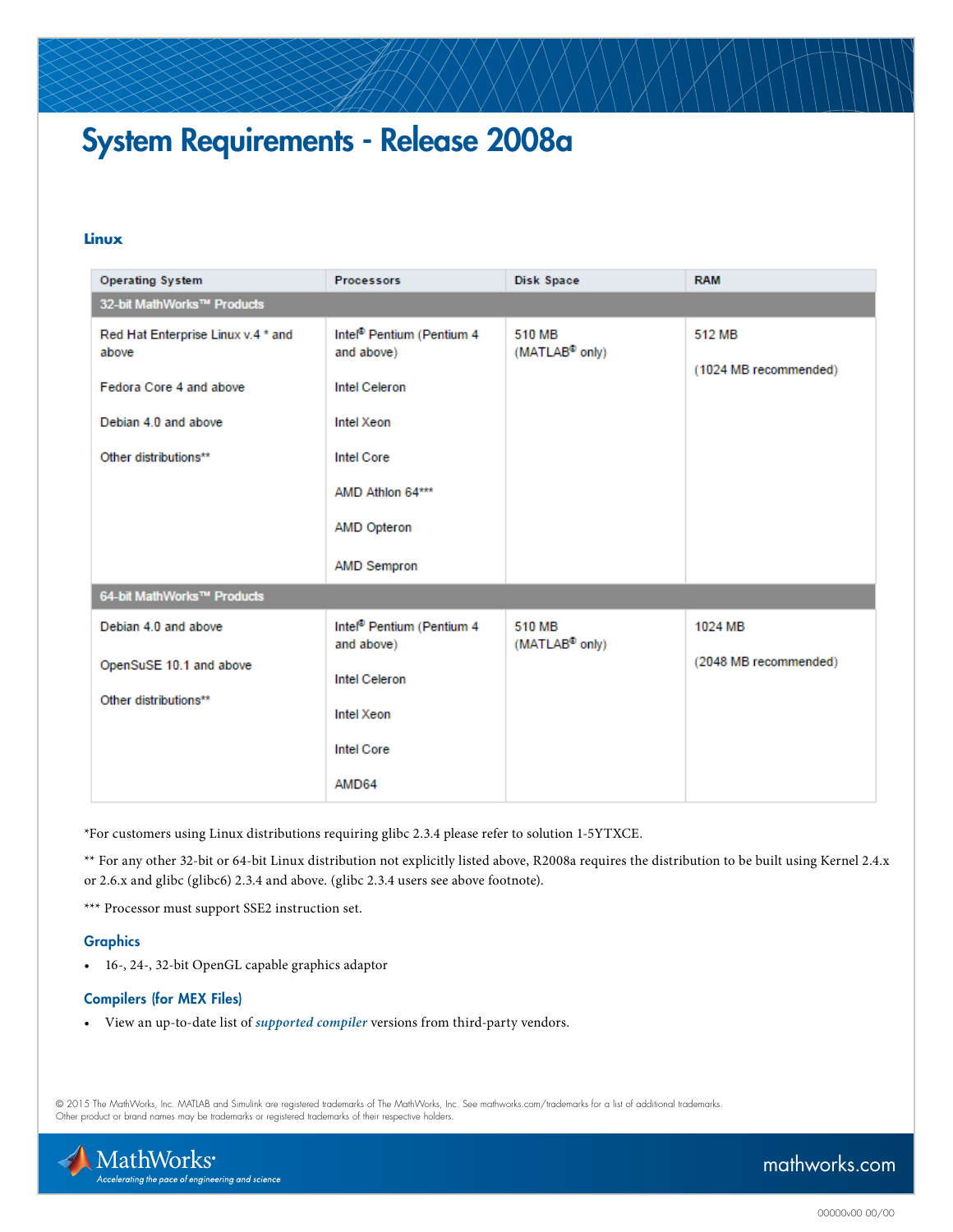# System Requirements - Release 2008a

### **Linux**

| <b>Operating System</b>                          | <b>Processors</b>                                   | Disk Space                           | <b>RAM</b>            |
|--------------------------------------------------|-----------------------------------------------------|--------------------------------------|-----------------------|
| 32-bit MathWorks™ Products                       |                                                     |                                      |                       |
| Red Hat Enterprise Linux v.4 * and<br>above      | Intel <sup>®</sup> Pentium (Pentium 4<br>and above) | 510 MB<br>(MATLAB <sup>®</sup> only) | 512 MB                |
| Fedora Core 4 and above                          | <b>Intel Celeron</b>                                |                                      | (1024 MB recommended) |
| Debian 4.0 and above                             | Intel Xeon                                          |                                      |                       |
| Other distributions**                            | <b>Intel Core</b>                                   |                                      |                       |
|                                                  | AMD Athlon 64***                                    |                                      |                       |
|                                                  | <b>AMD Opteron</b>                                  |                                      |                       |
|                                                  | <b>AMD Sempron</b>                                  |                                      |                       |
| 64-bit MathWorks™ Products                       |                                                     |                                      |                       |
| Debian 4.0 and above                             | Intel <sup>®</sup> Pentium (Pentium 4<br>and above) | 510 MB<br>(MATLAB <sup>®</sup> only) | 1024 MB               |
| OpenSuSE 10.1 and above<br>Other distributions** | <b>Intel Celeron</b>                                |                                      | (2048 MB recommended) |
|                                                  | Intel Xeon                                          |                                      |                       |
|                                                  | <b>Intel Core</b>                                   |                                      |                       |
|                                                  | AMD64                                               |                                      |                       |

\*For customers using Linux distributions requiring glibc 2.3.4 please refer to solution [1-5YTXCE.](http://www.mathworks.com/support/solutions/data/1-5YTXCE.html?solution=1-5YTXCE)

\*\* For any other 32-bit or 64-bit Linux distribution not explicitly listed above, R2008a requires the distribution to be built using Kernel 2.4.x or 2.6.x and glibc (glibc6) 2.3.4 and above. (glibc 2.3.4 users see above footnote).

\*\*\* Processor must support SSE2 instruction set.

#### **Graphics**

• 16-, 24-, 32-bit OpenGL capable graphics adaptor

#### Compilers (for MEX Files)

• View an up-to-date list of *[supported compiler](http://www.mathworks.com/support/compilers/current_release/)* versions from third-party vendors.

© 2015 The MathWorks, Inc. MATLAB and Simulink are registered trademarks of The MathWorks, Inc. See [mathworks.com/trademarks](http://www.mathworks.com/trademarks) for a list of additional trademarks. Other product or brand names may be trademarks or registered trademarks of their respective holders.



## [mathworks.com](http://www.mathworks.com)